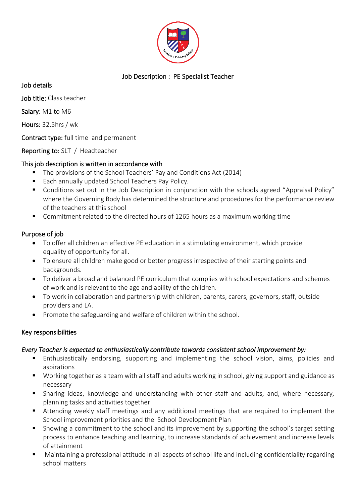

# Job Description : PE Specialist Teacher

Job details

Job title: Class teacher

Salary: M1 to M6

Hours: 32.5hrs / wk

Contract type: full time and permanent

Reporting to: SLT / Headteacher

#### This job description is written in accordance with

- The provisions of the School Teachers' Pay and Conditions Act (2014)
- Each annually updated School Teachers Pay Policy.
- Conditions set out in the Job Description in conjunction with the schools agreed "Appraisal Policy" where the Governing Body has determined the structure and procedures for the performance review of the teachers at this school
- Commitment related to the directed hours of 1265 hours as a maximum working time

#### Purpose of job

- To offer all children an effective PE education in a stimulating environment, which provide equality of opportunity for all.
- To ensure all children make good or better progress irrespective of their starting points and backgrounds.
- To deliver a broad and balanced PE curriculum that complies with school expectations and schemes of work and is relevant to the age and ability of the children.
- To work in collaboration and partnership with children, parents, carers, governors, staff, outside providers and LA.
- Promote the safeguarding and welfare of children within the school.

## Key responsibilities

#### *Every Teacher is expected to enthusiastically contribute towards consistent school improvement by:*

- **Enthusiastically endorsing, supporting and implementing the school vision, aims, policies and** aspirations
- Working together as a team with all staff and adults working in school, giving support and guidance as necessary
- Sharing ideas, knowledge and understanding with other staff and adults, and, where necessary, planning tasks and activities together
- Attending weekly staff meetings and any additional meetings that are required to implement the School improvement priorities and the School Development Plan
- Showing a commitment to the school and its improvement by supporting the school's target setting process to enhance teaching and learning, to increase standards of achievement and increase levels of attainment
- Maintaining a professional attitude in all aspects of school life and including confidentiality regarding school matters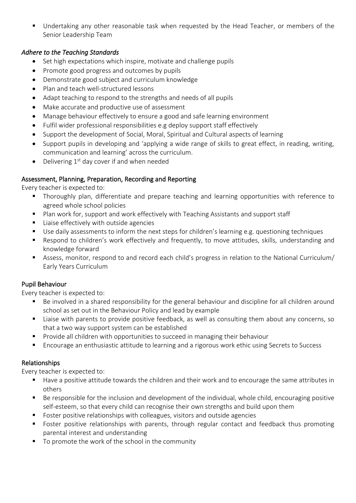■ Undertaking any other reasonable task when requested by the Head Teacher, or members of the Senior Leadership Team

## *Adhere to the Teaching Standards*

- Set high expectations which inspire, motivate and challenge pupils
- Promote good progress and outcomes by pupils
- Demonstrate good subject and curriculum knowledge
- Plan and teach well-structured lessons
- Adapt teaching to respond to the strengths and needs of all pupils
- Make accurate and productive use of assessment
- Manage behaviour effectively to ensure a good and safe learning environment
- Fulfil wider professional responsibilities e.g deploy support staff effectively
- Support the development of Social, Moral, Spiritual and Cultural aspects of learning
- Support pupils in developing and 'applying a wide range of skills to great effect, in reading, writing, communication and learning' across the curriculum.
- Delivering  $1<sup>st</sup>$  day cover if and when needed

## Assessment, Planning, Preparation, Recording and Reporting

Every teacher is expected to:

- Thoroughly plan, differentiate and prepare teaching and learning opportunities with reference to agreed whole school policies
- Plan work for, support and work effectively with Teaching Assistants and support staff
- Liaise effectively with outside agencies
- Use daily assessments to inform the next steps for children's learning e.g. questioning techniques
- Respond to children's work effectively and frequently, to move attitudes, skills, understanding and knowledge forward
- Assess, monitor, respond to and record each child's progress in relation to the National Curriculum/ Early Years Curriculum

## Pupil Behaviour

Every teacher is expected to:

- Be involved in a shared responsibility for the general behaviour and discipline for all children around school as set out in the Behaviour Policy and lead by example
- Liaise with parents to provide positive feedback, as well as consulting them about any concerns, so that a two way support system can be established
- **•** Provide all children with opportunities to succeed in managing their behaviour
- Encourage an enthusiastic attitude to learning and a rigorous work ethic using Secrets to Success

## Relationships

Every teacher is expected to:

- Have a positive attitude towards the children and their work and to encourage the same attributes in others
- Be responsible for the inclusion and development of the individual, whole child, encouraging positive self-esteem, so that every child can recognise their own strengths and build upon them
- Foster positive relationships with colleagues, visitors and outside agencies
- Foster positive relationships with parents, through regular contact and feedback thus promoting parental interest and understanding
- To promote the work of the school in the community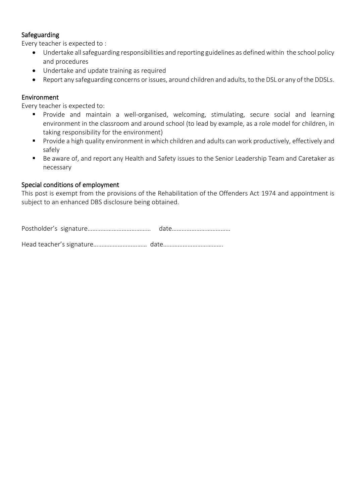### Safeguarding

Every teacher is expected to :

- Undertake all safeguarding responsibilities and reporting guidelines as defined within the school policy and procedures
- Undertake and update training as required
- Report any safeguarding concerns or issues, around children and adults, to the DSL or any of the DDSLs.

#### Environment

Every teacher is expected to:

- Provide and maintain a well-organised, welcoming, stimulating, secure social and learning environment in the classroom and around school (to lead by example, as a role model for children, in taking responsibility for the environment)
- Provide a high quality environment in which children and adults can work productively, effectively and safely
- Be aware of, and report any Health and Safety issues to the Senior Leadership Team and Caretaker as necessary

#### Special conditions of employment

This post is exempt from the provisions of the Rehabilitation of the Offenders Act 1974 and appointment is subject to an enhanced DBS disclosure being obtained.

Postholder's signature………………………………… date………………………………

Head teacher's signature…………………………… date……………………………….